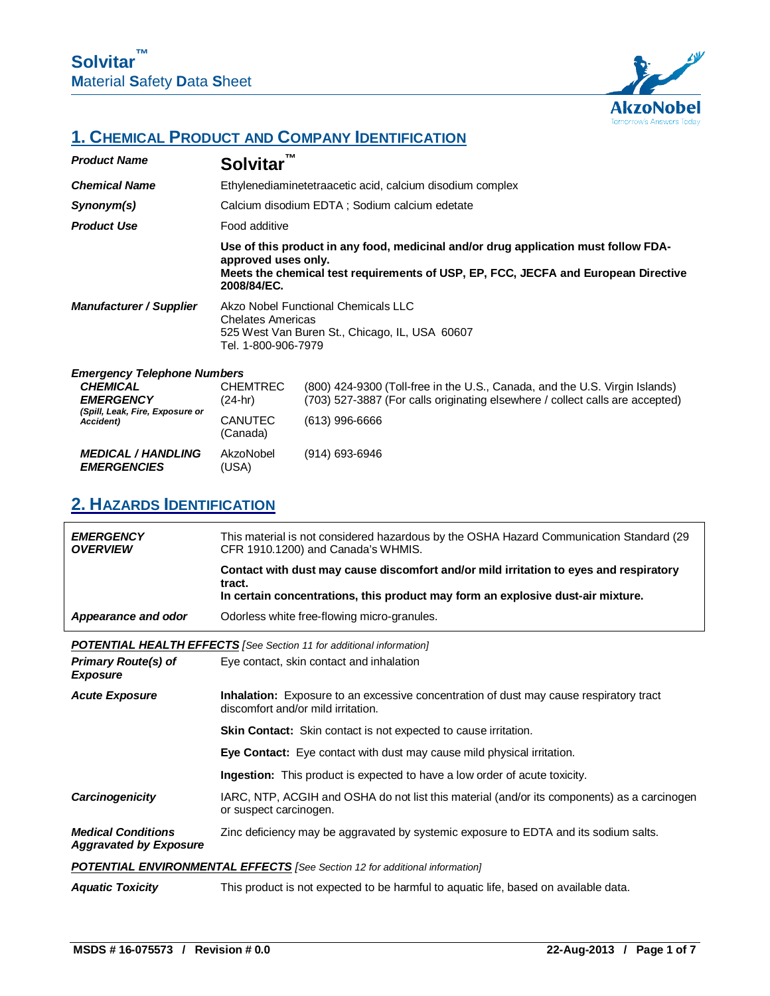

## **1. CHEMICAL PRODUCT AND COMPANY IDENTIFICATION**

| <b>Product Name</b>                                                                                                       | ТM<br><b>Solvitar</b>                                      |                                                                                                                                                                                |
|---------------------------------------------------------------------------------------------------------------------------|------------------------------------------------------------|--------------------------------------------------------------------------------------------------------------------------------------------------------------------------------|
| <b>Chemical Name</b>                                                                                                      |                                                            | Ethylenediaminetetraacetic acid, calcium disodium complex                                                                                                                      |
| Synonym(s)                                                                                                                |                                                            | Calcium disodium EDTA ; Sodium calcium edetate                                                                                                                                 |
| <b>Product Use</b>                                                                                                        | Food additive                                              |                                                                                                                                                                                |
|                                                                                                                           | approved uses only.<br>2008/84/EC.                         | Use of this product in any food, medicinal and/or drug application must follow FDA-<br>Meets the chemical test requirements of USP, EP, FCC, JECFA and European Directive      |
| <b>Manufacturer / Supplier</b>                                                                                            | <b>Chelates Americas</b><br>Tel. 1-800-906-7979            | Akzo Nobel Functional Chemicals LLC<br>525 West Van Buren St., Chicago, IL, USA 60607                                                                                          |
| <b>Emergency Telephone Numbers</b><br><b>CHEMICAL</b><br><b>EMERGENCY</b><br>(Spill, Leak, Fire, Exposure or<br>Accident) | <b>CHEMTREC</b><br>$(24-hr)$<br><b>CANUTEC</b><br>(Canada) | (800) 424-9300 (Toll-free in the U.S., Canada, and the U.S. Virgin Islands)<br>(703) 527-3887 (For calls originating elsewhere / collect calls are accepted)<br>(613) 996-6666 |
| <b>MEDICAL / HANDLING</b><br><b>EMERGENCIES</b>                                                                           | AkzoNobel<br>(USA)                                         | (914) 693-6946                                                                                                                                                                 |

## **2. HAZARDS IDENTIFICATION**

| <b>EMERGENCY</b><br><b>OVERVIEW</b>                        | This material is not considered hazardous by the OSHA Hazard Communication Standard (29<br>CFR 1910.1200) and Canada's WHMIS.                                                      |
|------------------------------------------------------------|------------------------------------------------------------------------------------------------------------------------------------------------------------------------------------|
|                                                            | Contact with dust may cause discomfort and/or mild irritation to eyes and respiratory<br>tract.<br>In certain concentrations, this product may form an explosive dust-air mixture. |
| Appearance and odor                                        | Odorless white free-flowing micro-granules.                                                                                                                                        |
|                                                            | <b>POTENTIAL HEALTH EFFECTS</b> [See Section 11 for additional information]                                                                                                        |
| <b>Primary Route(s) of</b><br><b>Exposure</b>              | Eye contact, skin contact and inhalation                                                                                                                                           |
| <b>Acute Exposure</b>                                      | <b>Inhalation:</b> Exposure to an excessive concentration of dust may cause respiratory tract<br>discomfort and/or mild irritation.                                                |
|                                                            | <b>Skin Contact:</b> Skin contact is not expected to cause irritation.                                                                                                             |
|                                                            | <b>Eye Contact:</b> Eye contact with dust may cause mild physical irritation.                                                                                                      |
|                                                            | <b>Ingestion:</b> This product is expected to have a low order of acute toxicity.                                                                                                  |
| Carcinogenicity                                            | IARC, NTP, ACGIH and OSHA do not list this material (and/or its components) as a carcinogen<br>or suspect carcinogen.                                                              |
| <b>Medical Conditions</b><br><b>Aggravated by Exposure</b> | Zinc deficiency may be aggravated by systemic exposure to EDTA and its sodium salts.                                                                                               |
|                                                            | <b>POTENTIAL ENVIRONMENTAL EFFECTS</b> [See Section 12 for additional information]                                                                                                 |
| <b>Aquatic Toxicity</b>                                    | This product is not expected to be harmful to aquatic life, based on available data.                                                                                               |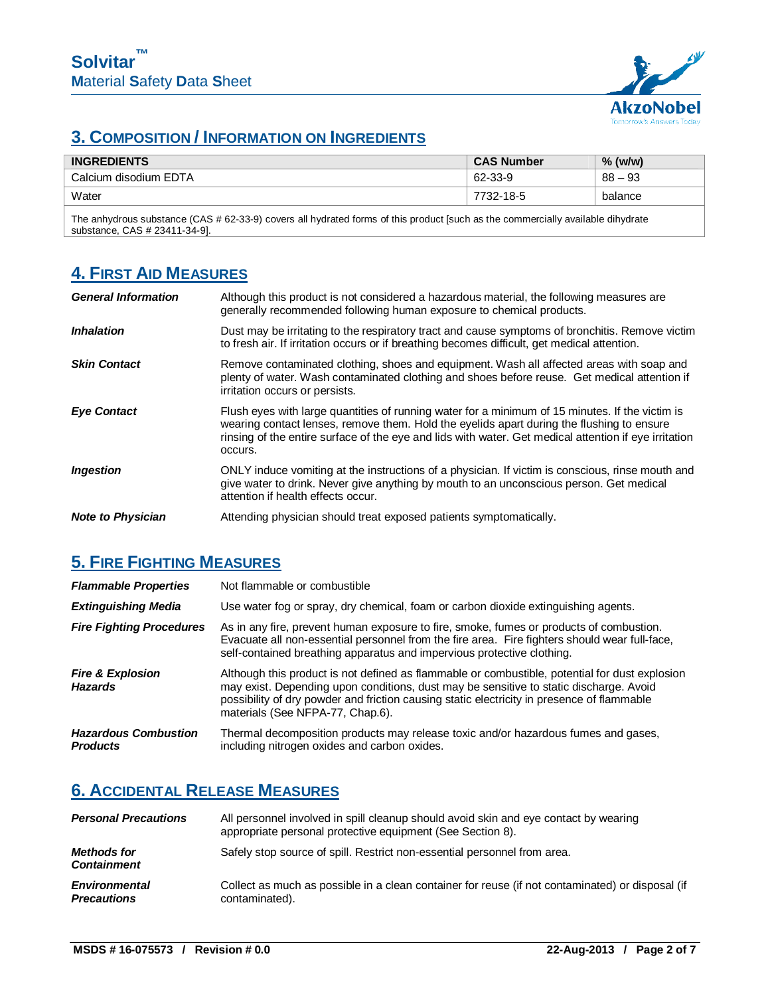

# **3. COMPOSITION / INFORMATION ON INGREDIENTS**

| <b>INGREDIENTS</b>    | <b>CAS Number</b> | % (w/w)   |
|-----------------------|-------------------|-----------|
| Calcium disodium EDTA | 62-33-9           | $88 - 93$ |
| Water                 | 7732-18-5         | balance   |

The anhydrous substance (CAS # 62-33-9) covers all hydrated forms of this product [such as the commercially available dihydrate substance, CAS # 23411-34-9].

## **4. FIRST AID MEASURES**

| <b>General Information</b> | Although this product is not considered a hazardous material, the following measures are<br>generally recommended following human exposure to chemical products.                                                                                                                                                 |
|----------------------------|------------------------------------------------------------------------------------------------------------------------------------------------------------------------------------------------------------------------------------------------------------------------------------------------------------------|
| <b>Inhalation</b>          | Dust may be irritating to the respiratory tract and cause symptoms of bronchitis. Remove victim<br>to fresh air. If irritation occurs or if breathing becomes difficult, get medical attention.                                                                                                                  |
| <b>Skin Contact</b>        | Remove contaminated clothing, shoes and equipment. Wash all affected areas with soap and<br>plenty of water. Wash contaminated clothing and shoes before reuse. Get medical attention if<br>irritation occurs or persists.                                                                                       |
| <b>Eye Contact</b>         | Flush eyes with large quantities of running water for a minimum of 15 minutes. If the victim is<br>wearing contact lenses, remove them. Hold the eyelids apart during the flushing to ensure<br>rinsing of the entire surface of the eye and lids with water. Get medical attention if eye irritation<br>occurs. |
| <b>Ingestion</b>           | ONLY induce vomiting at the instructions of a physician. If victim is conscious, rinse mouth and<br>give water to drink. Never give anything by mouth to an unconscious person. Get medical<br>attention if health effects occur.                                                                                |
| <b>Note to Physician</b>   | Attending physician should treat exposed patients symptomatically.                                                                                                                                                                                                                                               |

## **5. FIRE FIGHTING MEASURES**

| <b>Flammable Properties</b>                    | Not flammable or combustible                                                                                                                                                                                                                                                                                               |
|------------------------------------------------|----------------------------------------------------------------------------------------------------------------------------------------------------------------------------------------------------------------------------------------------------------------------------------------------------------------------------|
| <b>Extinguishing Media</b>                     | Use water fog or spray, dry chemical, foam or carbon dioxide extinguishing agents.                                                                                                                                                                                                                                         |
| <b>Fire Fighting Procedures</b>                | As in any fire, prevent human exposure to fire, smoke, fumes or products of combustion.<br>Evacuate all non-essential personnel from the fire area. Fire fighters should wear full-face,<br>self-contained breathing apparatus and impervious protective clothing.                                                         |
| <b>Fire &amp; Explosion</b><br><b>Hazards</b>  | Although this product is not defined as flammable or combustible, potential for dust explosion<br>may exist. Depending upon conditions, dust may be sensitive to static discharge. Avoid<br>possibility of dry powder and friction causing static electricity in presence of flammable<br>materials (See NFPA-77, Chap.6). |
| <b>Hazardous Combustion</b><br><b>Products</b> | Thermal decomposition products may release toxic and/or hazardous fumes and gases,<br>including nitrogen oxides and carbon oxides.                                                                                                                                                                                         |

# **6. ACCIDENTAL RELEASE MEASURES**

| <b>Personal Precautions</b>                | All personnel involved in spill cleanup should avoid skin and eye contact by wearing<br>appropriate personal protective equipment (See Section 8). |
|--------------------------------------------|----------------------------------------------------------------------------------------------------------------------------------------------------|
| <b>Methods for</b><br><b>Containment</b>   | Safely stop source of spill. Restrict non-essential personnel from area.                                                                           |
| <b>Environmental</b><br><b>Precautions</b> | Collect as much as possible in a clean container for reuse (if not contaminated) or disposal (if<br>contaminated).                                 |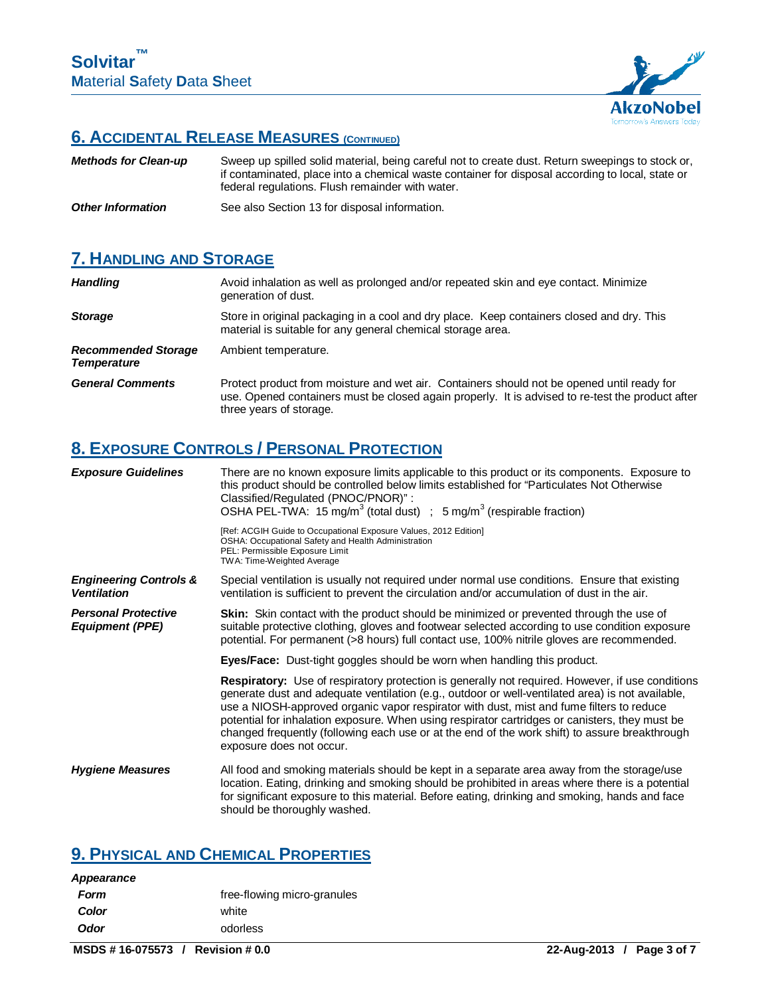

## **6. ACCIDENTAL RELEASE MEASURES (CONTINUED)**

| <b>Methods for Clean-up</b> | Sweep up spilled solid material, being careful not to create dust. Return sweepings to stock or,<br>if contaminated, place into a chemical waste container for disposal according to local, state or<br>federal regulations. Flush remainder with water. |
|-----------------------------|----------------------------------------------------------------------------------------------------------------------------------------------------------------------------------------------------------------------------------------------------------|
| <b>Other Information</b>    | See also Section 13 for disposal information.                                                                                                                                                                                                            |

## **7. HANDLING AND STORAGE**

| <b>Handling</b>                                  | Avoid inhalation as well as prolonged and/or repeated skin and eye contact. Minimize<br>generation of dust.                                                                                                               |
|--------------------------------------------------|---------------------------------------------------------------------------------------------------------------------------------------------------------------------------------------------------------------------------|
| <b>Storage</b>                                   | Store in original packaging in a cool and dry place. Keep containers closed and dry. This<br>material is suitable for any general chemical storage area.                                                                  |
| <b>Recommended Storage</b><br><b>Temperature</b> | Ambient temperature.                                                                                                                                                                                                      |
| <b>General Comments</b>                          | Protect product from moisture and wet air. Containers should not be opened until ready for<br>use. Opened containers must be closed again properly. It is advised to re-test the product after<br>three years of storage. |

# **8. EXPOSURE CONTROLS / PERSONAL PROTECTION**

| <b>Exposure Guidelines</b>                              | There are no known exposure limits applicable to this product or its components. Exposure to<br>this product should be controlled below limits established for "Particulates Not Otherwise"<br>Classified/Regulated (PNOC/PNOR)":<br>OSHA PEL-TWA: 15 mg/m <sup>3</sup> (total dust) ; 5 mg/m <sup>3</sup> (respirable fraction)                                                                                                                                                                                                        |
|---------------------------------------------------------|-----------------------------------------------------------------------------------------------------------------------------------------------------------------------------------------------------------------------------------------------------------------------------------------------------------------------------------------------------------------------------------------------------------------------------------------------------------------------------------------------------------------------------------------|
|                                                         | [Ref: ACGIH Guide to Occupational Exposure Values, 2012 Edition]<br>OSHA: Occupational Safety and Health Administration<br>PEL: Permissible Exposure Limit<br>TWA: Time-Weighted Average                                                                                                                                                                                                                                                                                                                                                |
| <b>Engineering Controls &amp;</b><br><b>Ventilation</b> | Special ventilation is usually not required under normal use conditions. Ensure that existing<br>ventilation is sufficient to prevent the circulation and/or accumulation of dust in the air.                                                                                                                                                                                                                                                                                                                                           |
| <b>Personal Protective</b><br><b>Equipment (PPE)</b>    | <b>Skin:</b> Skin contact with the product should be minimized or prevented through the use of<br>suitable protective clothing, gloves and footwear selected according to use condition exposure<br>potential. For permanent (>8 hours) full contact use, 100% nitrile gloves are recommended.                                                                                                                                                                                                                                          |
|                                                         | <b>Eyes/Face:</b> Dust-tight goggles should be worn when handling this product.                                                                                                                                                                                                                                                                                                                                                                                                                                                         |
|                                                         | <b>Respiratory:</b> Use of respiratory protection is generally not required. However, if use conditions<br>generate dust and adequate ventilation (e.g., outdoor or well-ventilated area) is not available,<br>use a NIOSH-approved organic vapor respirator with dust, mist and fume filters to reduce<br>potential for inhalation exposure. When using respirator cartridges or canisters, they must be<br>changed frequently (following each use or at the end of the work shift) to assure breakthrough<br>exposure does not occur. |
| <b>Hygiene Measures</b>                                 | All food and smoking materials should be kept in a separate area away from the storage/use<br>location. Eating, drinking and smoking should be prohibited in areas where there is a potential<br>for significant exposure to this material. Before eating, drinking and smoking, hands and face<br>should be thoroughly washed.                                                                                                                                                                                                         |

## **9. PHYSICAL AND CHEMICAL PROPERTIES**

| <b>Appearance</b> |                             |
|-------------------|-----------------------------|
| Form              | free-flowing micro-granules |
| Color             | white                       |
| <b>Odor</b>       | odorless                    |
|                   |                             |

**MSDS # 16-075573 / Revision # 0.0 22-Aug-2013 / Page 3 of 7**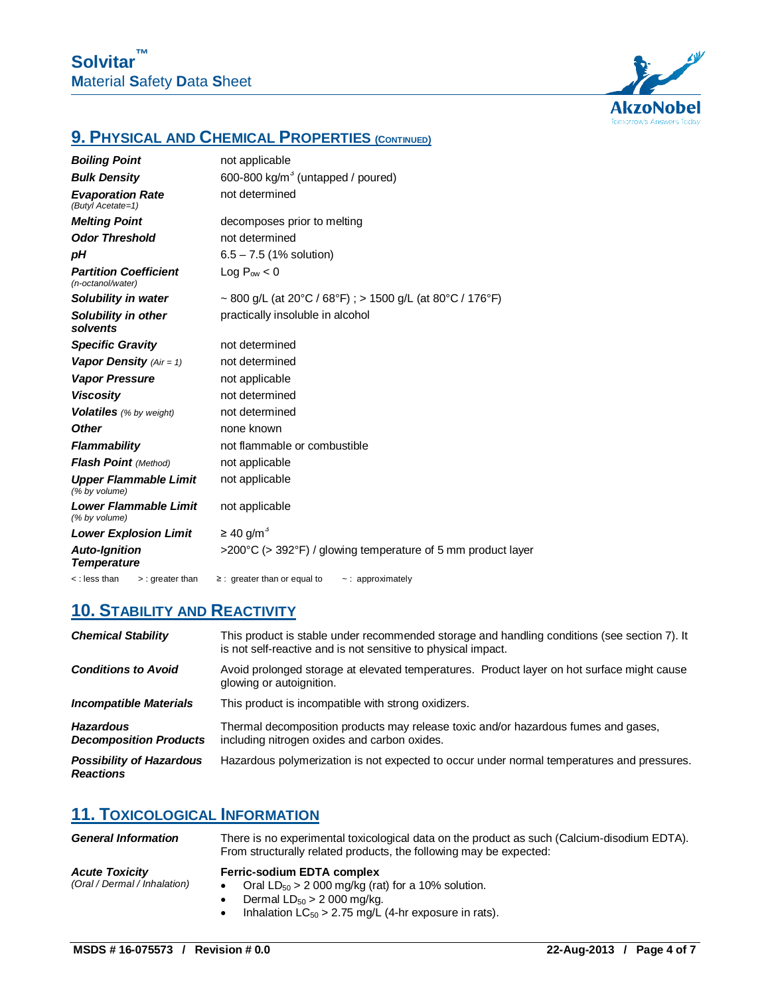

# **9. PHYSICAL AND CHEMICAL PROPERTIES (CONTINUED)**

| <b>Boiling Point</b>                              | not applicable                                               |
|---------------------------------------------------|--------------------------------------------------------------|
| <b>Bulk Density</b>                               | 600-800 kg/m <sup>3</sup> (untapped / poured)                |
| <b>Evaporation Rate</b><br>(Butyl Acetate=1)      | not determined                                               |
| <b>Melting Point</b>                              | decomposes prior to melting                                  |
| <b>Odor Threshold</b>                             | not determined                                               |
| рH                                                | $6.5 - 7.5$ (1% solution)                                    |
| <b>Partition Coefficient</b><br>(n-octanol/water) | Log $P_{ow}$ < 0                                             |
| Solubility in water                               | ~ 800 g/L (at 20°C / 68°F) ; > 1500 g/L (at 80°C / 176°F)    |
| <b>Solubility in other</b><br>solvents            | practically insoluble in alcohol                             |
| <b>Specific Gravity</b>                           | not determined                                               |
| Vapor Density $(Air = 1)$                         | not determined                                               |
| <b>Vapor Pressure</b>                             | not applicable                                               |
| <b>Viscosity</b>                                  | not determined                                               |
| <b>Volatiles</b> (% by weight)                    | not determined                                               |
| <b>Other</b>                                      | none known                                                   |
| <b>Flammability</b>                               | not flammable or combustible                                 |
| Flash Point (Method)                              | not applicable                                               |
| <b>Upper Flammable Limit</b><br>(% by volume)     | not applicable                                               |
| <b>Lower Flammable Limit</b><br>(% by volume)     | not applicable                                               |
| <b>Lower Explosion Limit</b>                      | $\geq$ 40 g/m <sup>3</sup>                                   |
| <b>Auto-Ignition</b><br><b>Temperature</b>        | >200°C (> 392°F) / glowing temperature of 5 mm product layer |
| <:less than<br>$>$ : greater than                 | $\geq$ : greater than or equal to<br>$\sim$ : approximately  |

### **10. STABILITY AND REACTIVITY**

| <b>Chemical Stability</b>                           | This product is stable under recommended storage and handling conditions (see section 7). It<br>is not self-reactive and is not sensitive to physical impact. |
|-----------------------------------------------------|---------------------------------------------------------------------------------------------------------------------------------------------------------------|
| <b>Conditions to Avoid</b>                          | Avoid prolonged storage at elevated temperatures. Product layer on hot surface might cause<br>glowing or autoignition.                                        |
| <b>Incompatible Materials</b>                       | This product is incompatible with strong oxidizers.                                                                                                           |
| <b>Hazardous</b><br><b>Decomposition Products</b>   | Thermal decomposition products may release toxic and/or hazardous fumes and gases,<br>including nitrogen oxides and carbon oxides.                            |
| <b>Possibility of Hazardous</b><br><b>Reactions</b> | Hazardous polymerization is not expected to occur under normal temperatures and pressures.                                                                    |

### **11. TOXICOLOGICAL INFORMATION**

| <b>General Information</b>                            | There is no experimental toxicological data on the product as such (Calcium-disodium EDTA).<br>From structurally related products, the following may be expected:                         |  |
|-------------------------------------------------------|-------------------------------------------------------------------------------------------------------------------------------------------------------------------------------------------|--|
| <b>Acute Toxicity</b><br>(Oral / Dermal / Inhalation) | <b>Ferric-sodium EDTA complex</b><br>Oral $LD_{50} > 2000$ mg/kg (rat) for a 10% solution.<br>Dermal $LD_{50} > 2000$ mg/kg.<br>Inhalation $LC_{50} > 2.75$ mg/L (4-hr exposure in rats). |  |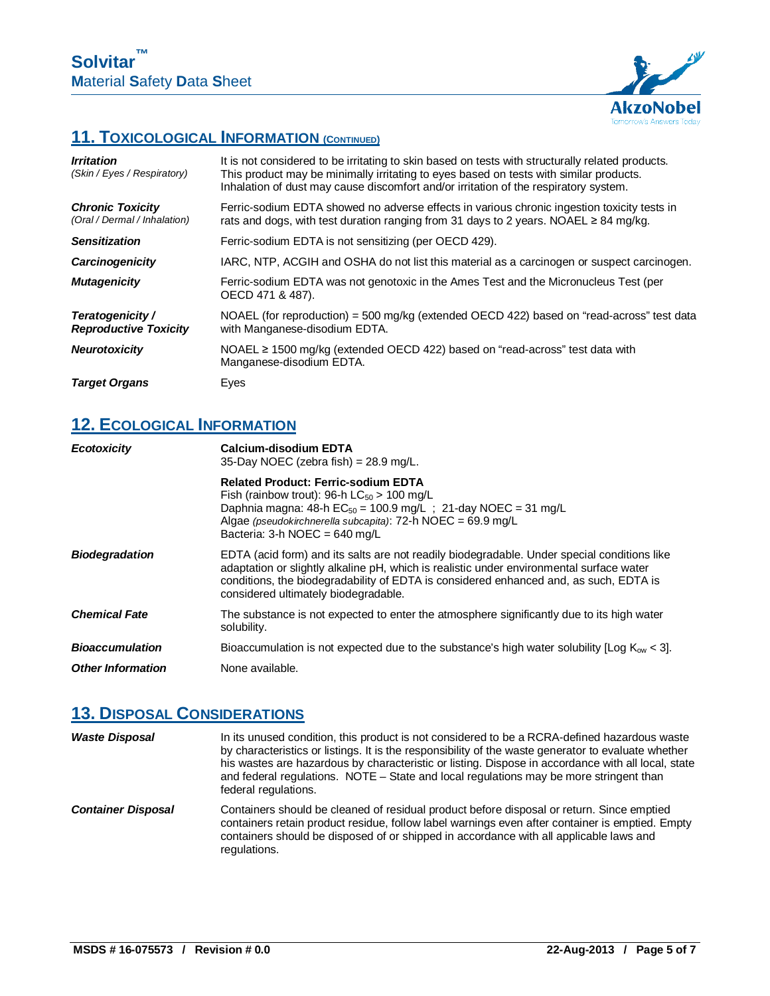

## **11. TOXICOLOGICAL INFORMATION (CONTINUED)**

| <b>Irritation</b><br>(Skin / Eyes / Respiratory)        | It is not considered to be irritating to skin based on tests with structurally related products.<br>This product may be minimally irritating to eyes based on tests with similar products.<br>Inhalation of dust may cause discomfort and/or irritation of the respiratory system. |
|---------------------------------------------------------|------------------------------------------------------------------------------------------------------------------------------------------------------------------------------------------------------------------------------------------------------------------------------------|
| <b>Chronic Toxicity</b><br>(Oral / Dermal / Inhalation) | Ferric-sodium EDTA showed no adverse effects in various chronic ingestion toxicity tests in<br>rats and dogs, with test duration ranging from 31 days to 2 years. NOAEL $\geq$ 84 mg/kg.                                                                                           |
| <b>Sensitization</b>                                    | Ferric-sodium EDTA is not sensitizing (per OECD 429).                                                                                                                                                                                                                              |
| <b>Carcinogenicity</b>                                  | IARC, NTP, ACGIH and OSHA do not list this material as a carcinogen or suspect carcinogen.                                                                                                                                                                                         |
| <b>Mutagenicity</b>                                     | Ferric-sodium EDTA was not genotoxic in the Ames Test and the Micronucleus Test (per<br>OECD 471 & 487).                                                                                                                                                                           |
| Teratogenicity /<br><b>Reproductive Toxicity</b>        | NOAEL (for reproduction) = 500 mg/kg (extended OECD 422) based on "read-across" test data<br>with Manganese-disodium EDTA.                                                                                                                                                         |
| <b>Neurotoxicity</b>                                    | NOAEL $\geq$ 1500 mg/kg (extended OECD 422) based on "read-across" test data with<br>Manganese-disodium EDTA.                                                                                                                                                                      |
| <b>Target Organs</b>                                    | Eyes                                                                                                                                                                                                                                                                               |

## **12. ECOLOGICAL INFORMATION**

| Ecotoxicity              | Calcium-disodium EDTA<br>35-Day NOEC (zebra fish) = $28.9$ mg/L.                                                                                                                                                                                                                                                         |
|--------------------------|--------------------------------------------------------------------------------------------------------------------------------------------------------------------------------------------------------------------------------------------------------------------------------------------------------------------------|
|                          | <b>Related Product: Ferric-sodium EDTA</b><br>Fish (rainbow trout): 96-h $LC_{50} > 100$ mg/L<br>Daphnia magna: 48-h $EC_{50} = 100.9$ mg/L; 21-day NOEC = 31 mg/L<br>Algae (pseudokirchnerella subcapita): $72-h$ NOEC = 69.9 mg/L<br>Bacteria: 3-h NOEC = $640 \text{ mg/L}$                                           |
| <b>Biodegradation</b>    | EDTA (acid form) and its salts are not readily biodegradable. Under special conditions like<br>adaptation or slightly alkaline pH, which is realistic under environmental surface water<br>conditions, the biodegradability of EDTA is considered enhanced and, as such, EDTA is<br>considered ultimately biodegradable. |
| <b>Chemical Fate</b>     | The substance is not expected to enter the atmosphere significantly due to its high water<br>solubility.                                                                                                                                                                                                                 |
| <b>Bioaccumulation</b>   | Bioaccumulation is not expected due to the substance's high water solubility [Log $K_{\text{ow}}$ < 3].                                                                                                                                                                                                                  |
| <b>Other Information</b> | None available.                                                                                                                                                                                                                                                                                                          |

### **13. DISPOSAL CONSIDERATIONS**

| <b>Waste Disposal</b>     | In its unused condition, this product is not considered to be a RCRA-defined hazardous waste<br>by characteristics or listings. It is the responsibility of the waste generator to evaluate whether<br>his wastes are hazardous by characteristic or listing. Dispose in accordance with all local, state<br>and federal regulations. NOTE – State and local regulations may be more stringent than<br>federal regulations. |
|---------------------------|-----------------------------------------------------------------------------------------------------------------------------------------------------------------------------------------------------------------------------------------------------------------------------------------------------------------------------------------------------------------------------------------------------------------------------|
| <b>Container Disposal</b> | Containers should be cleaned of residual product before disposal or return. Since emptied<br>containers retain product residue, follow label warnings even after container is emptied. Empty<br>containers should be disposed of or shipped in accordance with all applicable laws and<br>regulations.                                                                                                                      |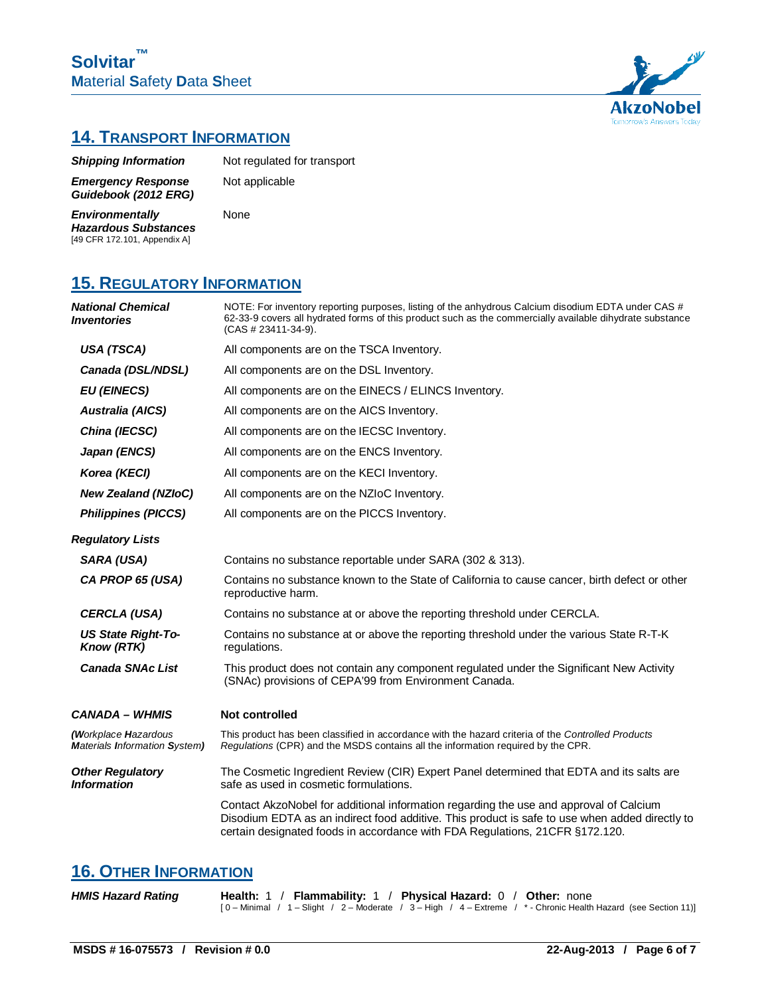

## **14. TRANSPORT INFORMATION**

| <b>Shipping Information</b>                       | Not regulated for transport |
|---------------------------------------------------|-----------------------------|
| <b>Emergency Response</b><br>Guidebook (2012 ERG) | Not applicable              |

*Environmentally Hazardous Substances*  [49 CFR 172.101, Appendix A]

None

## **15. REGULATORY INFORMATION**

| <b>National Chemical</b><br><i><u><b>Inventories</b></u></i> | NOTE: For inventory reporting purposes, listing of the anhydrous Calcium disodium EDTA under CAS #<br>62-33-9 covers all hydrated forms of this product such as the commercially available dihydrate substance<br>$(CAS # 23411-34-9)$ .                                 |  |  |
|--------------------------------------------------------------|--------------------------------------------------------------------------------------------------------------------------------------------------------------------------------------------------------------------------------------------------------------------------|--|--|
| USA (TSCA)                                                   | All components are on the TSCA Inventory.                                                                                                                                                                                                                                |  |  |
| Canada (DSL/NDSL)                                            | All components are on the DSL Inventory.                                                                                                                                                                                                                                 |  |  |
| <b>EU (EINECS)</b>                                           | All components are on the EINECS / ELINCS Inventory.                                                                                                                                                                                                                     |  |  |
| Australia (AICS)                                             | All components are on the AICS Inventory.                                                                                                                                                                                                                                |  |  |
| China (IECSC)                                                | All components are on the IECSC Inventory.                                                                                                                                                                                                                               |  |  |
| Japan (ENCS)                                                 | All components are on the ENCS Inventory.                                                                                                                                                                                                                                |  |  |
| Korea (KECI)                                                 | All components are on the KECI Inventory.                                                                                                                                                                                                                                |  |  |
| <b>New Zealand (NZIoC)</b>                                   | All components are on the NZIoC Inventory.                                                                                                                                                                                                                               |  |  |
| <b>Philippines (PICCS)</b>                                   | All components are on the PICCS Inventory.                                                                                                                                                                                                                               |  |  |
| <b>Regulatory Lists</b>                                      |                                                                                                                                                                                                                                                                          |  |  |
| SARA (USA)                                                   | Contains no substance reportable under SARA (302 & 313).                                                                                                                                                                                                                 |  |  |
| CA PROP 65 (USA)                                             | Contains no substance known to the State of California to cause cancer, birth defect or other<br>reproductive harm.                                                                                                                                                      |  |  |
| <b>CERCLA (USA)</b>                                          | Contains no substance at or above the reporting threshold under CERCLA.                                                                                                                                                                                                  |  |  |
| <b>US State Right-To-</b><br><b>Know (RTK)</b>               | Contains no substance at or above the reporting threshold under the various State R-T-K<br>regulations.                                                                                                                                                                  |  |  |
| <b>Canada SNAc List</b>                                      | This product does not contain any component regulated under the Significant New Activity<br>(SNAc) provisions of CEPA'99 from Environment Canada.                                                                                                                        |  |  |
| <b>CANADA – WHMIS</b>                                        | <b>Not controlled</b>                                                                                                                                                                                                                                                    |  |  |
| (Workplace Hazardous<br><b>Materials Information System)</b> | This product has been classified in accordance with the hazard criteria of the Controlled Products<br>Regulations (CPR) and the MSDS contains all the information required by the CPR.                                                                                   |  |  |
| <b>Other Regulatory</b><br><b>Information</b>                | The Cosmetic Ingredient Review (CIR) Expert Panel determined that EDTA and its salts are<br>safe as used in cosmetic formulations.                                                                                                                                       |  |  |
|                                                              | Contact AkzoNobel for additional information regarding the use and approval of Calcium<br>Disodium EDTA as an indirect food additive. This product is safe to use when added directly to<br>certain designated foods in accordance with FDA Regulations, 21CFR §172.120. |  |  |

### **16. OTHER INFORMATION**

| <b>HMIS Hazard Rating</b> |  | Health: 1 / Flammability: 1 / Physical Hazard: 0 / Other: none |                                                                                                                  |
|---------------------------|--|----------------------------------------------------------------|------------------------------------------------------------------------------------------------------------------|
|                           |  |                                                                | $[0 -$ Minimal / 1 - Slight / 2 - Moderate / 3 - High / 4 - Extreme / * - Chronic Health Hazard (see Section 11) |